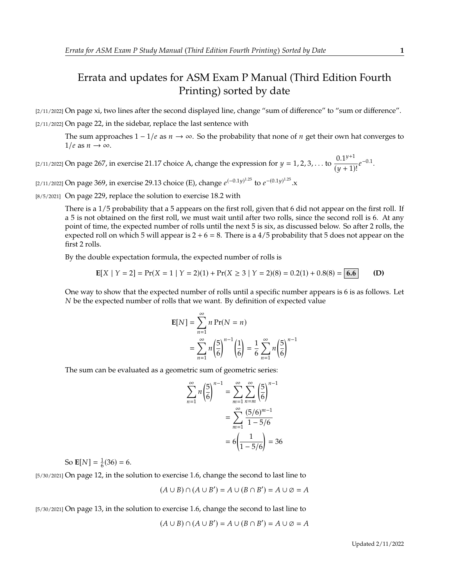## Errata and updates for ASM Exam P Manual (Third Edition Fourth Printing) sorted by date

[2/11/2022] On page xi, two lines after the second displayed line, change "sum of difference" to "sum or difference". [2/11/2022] On page 22, in the sidebar, replace the last sentence with

The sum approaches  $1 - 1/e$  as  $n \to \infty$ . So the probability that none of *n* get their own hat converges to  $1/e$  as  $n \to \infty$ .

[2/11/2022] On page 267, in exercise 21.17 choice A, change the expression for  $y = 1, 2, 3, ...$  to  $\frac{0.1^{y+1}}{(y+1)}$  $\frac{0.1^{3}}{(y+1)!}e^{-0.1}.$ 

[2/11/2022] On page 369, in exercise 29.13 choice (E), change  $e^{(-0.1y)^{1.25}}$  to  $e^{-(0.1y)^{1.25}}$ .x

[8/5/2021] On page 229, replace the solution to exercise 18.2 with

There is a 1/5 probability that a 5 appears on the first roll, given that 6 did not appear on the first roll. If a 5 is not obtained on the first roll, we must wait until after two rolls, since the second roll is 6. At any point of time, the expected number of rolls until the next 5 is six, as discussed below. So after 2 rolls, the expected roll on which 5 will appear is  $2 + 6 = 8$ . There is a 4/5 probability that 5 does not appear on the first 2 rolls.

By the double expectation formula, the expected number of rolls is

$$
E[X \mid Y = 2] = Pr(X = 1 \mid Y = 2)(1) + Pr(X \ge 3 \mid Y = 2)(8) = 0.2(1) + 0.8(8) = 6.6
$$
 (D)

One way to show that the expected number of rolls until a specific number appears is 6 is as follows. Let  $N$  be the expected number of rolls that we want. By definition of expected value

$$
\mathbf{E}[N] = \sum_{n=1}^{\infty} n \Pr(N = n)
$$
  
= 
$$
\sum_{n=1}^{\infty} n \left(\frac{5}{6}\right)^{n-1} \left(\frac{1}{6}\right) = \frac{1}{6} \sum_{n=1}^{\infty} n \left(\frac{5}{6}\right)^{n-1}
$$

The sum can be evaluated as a geometric sum of geometric series:

$$
\sum_{n=1}^{\infty} n \left(\frac{5}{6}\right)^{n-1} = \sum_{m=1}^{\infty} \sum_{n=m}^{\infty} \left(\frac{5}{6}\right)^{n-1}
$$

$$
= \sum_{m=1}^{\infty} \frac{(5/6)^{m-1}}{1-5/6}
$$

$$
= 6\left(\frac{1}{1-5/6}\right) = 36
$$

So  $\mathbf{E}[N] = \frac{1}{6}(36) = 6.$ 

[5/30/2021] On page 12, in the solution to exercise 1.6, change the second to last line to

$$
(A \cup B) \cap (A \cup B') = A \cup (B \cap B') = A \cup \emptyset = A
$$

[5/30/2021] On page 13, in the solution to exercise 1.6, change the second to last line to

$$
(A \cup B) \cap (A \cup B') = A \cup (B \cap B') = A \cup \emptyset = A
$$